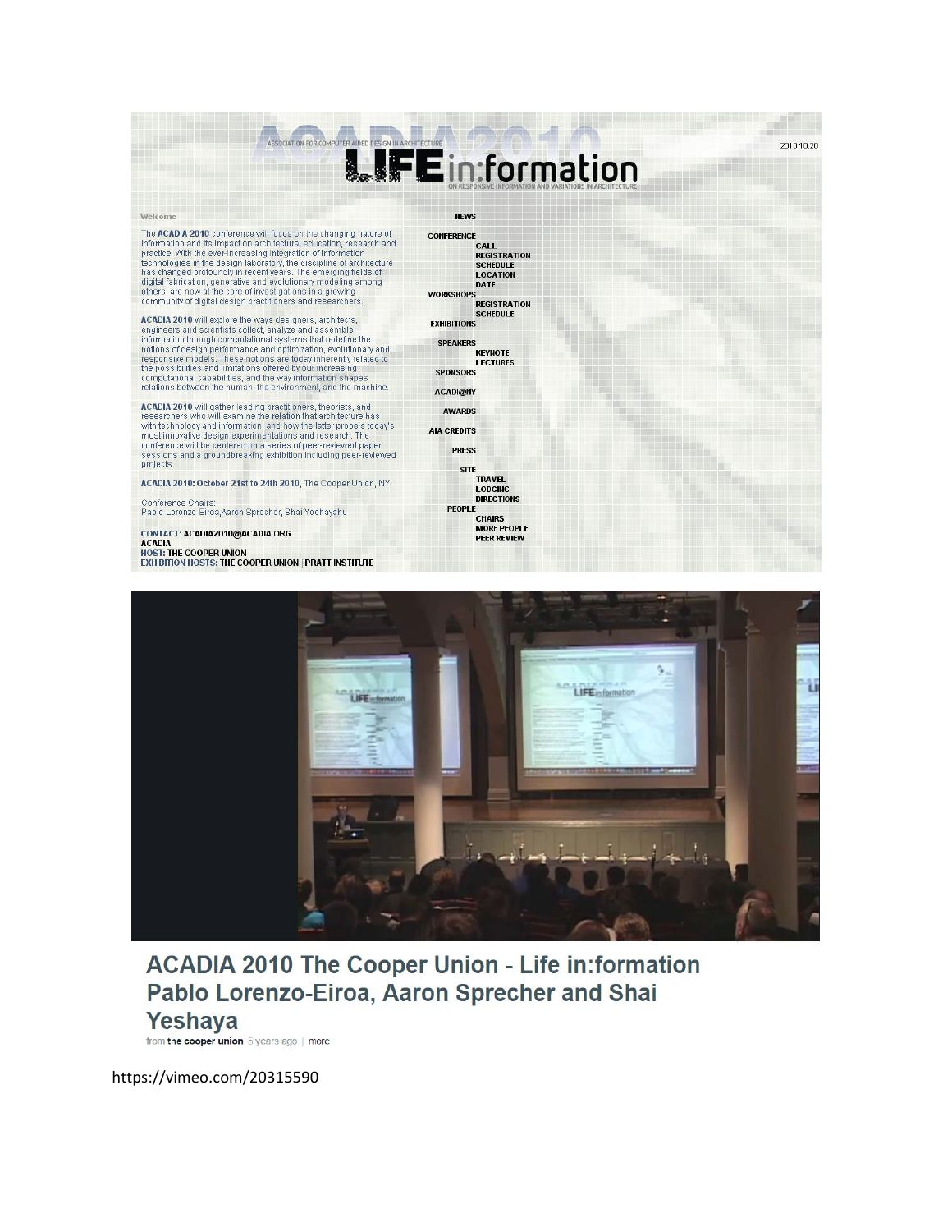## ASSOCIATION FOR CONTROLLATION CONTROLLATION CONTROLLATION CONTROLLATION

Welcome

The ACADIA 2010 conference will focus on the changing nature of<br>information and its impact on architectural education, research and<br>practice. With the ever-increasing infegration of information<br>technologies in the design l

ACADIA 2010 will explore the ways designers, architects,<br>engineers and scientists collect, analyze and assemble engineers and scientists collect, analyze and assemble<br>information through computational systems that redefine the<br>notions of design performance and optimization, evolutionary and<br>responsive models. These notions are today

ACADIA 2010 will gather leading practitioners, theorists, and<br>researchers who will examine the relation that architecture has<br>with technology and information, and how the latter propels today's<br>most innovative design exper conference will be centered on a series of peer-reviewed paper sessions and a groundbreaking exhibition including peer-reviewed projects.

ACADIA 2010: October 21st to 24th 2010, The Cooper Union, NY

Conference Chairs:<br>Pablo Lorenzo-Eiroa,Aaron Sprecher, Shai Yeshayahu

CONTACT: ACADIA2010@ACADIA.ORG **ACADIA** ACADIA<br>HOST: THE COOPER UNION<br>EXHIBITION HOSTS: THE COOPER UNION | PRATT INSTITUTE



2010.10.28



## **ACADIA 2010 The Cooper Union - Life in:formation** Pablo Lorenzo-Eiroa, Aaron Sprecher and Shai Yeshaya

from the cooper union 5 years ago | more

https://vimeo.com/20315590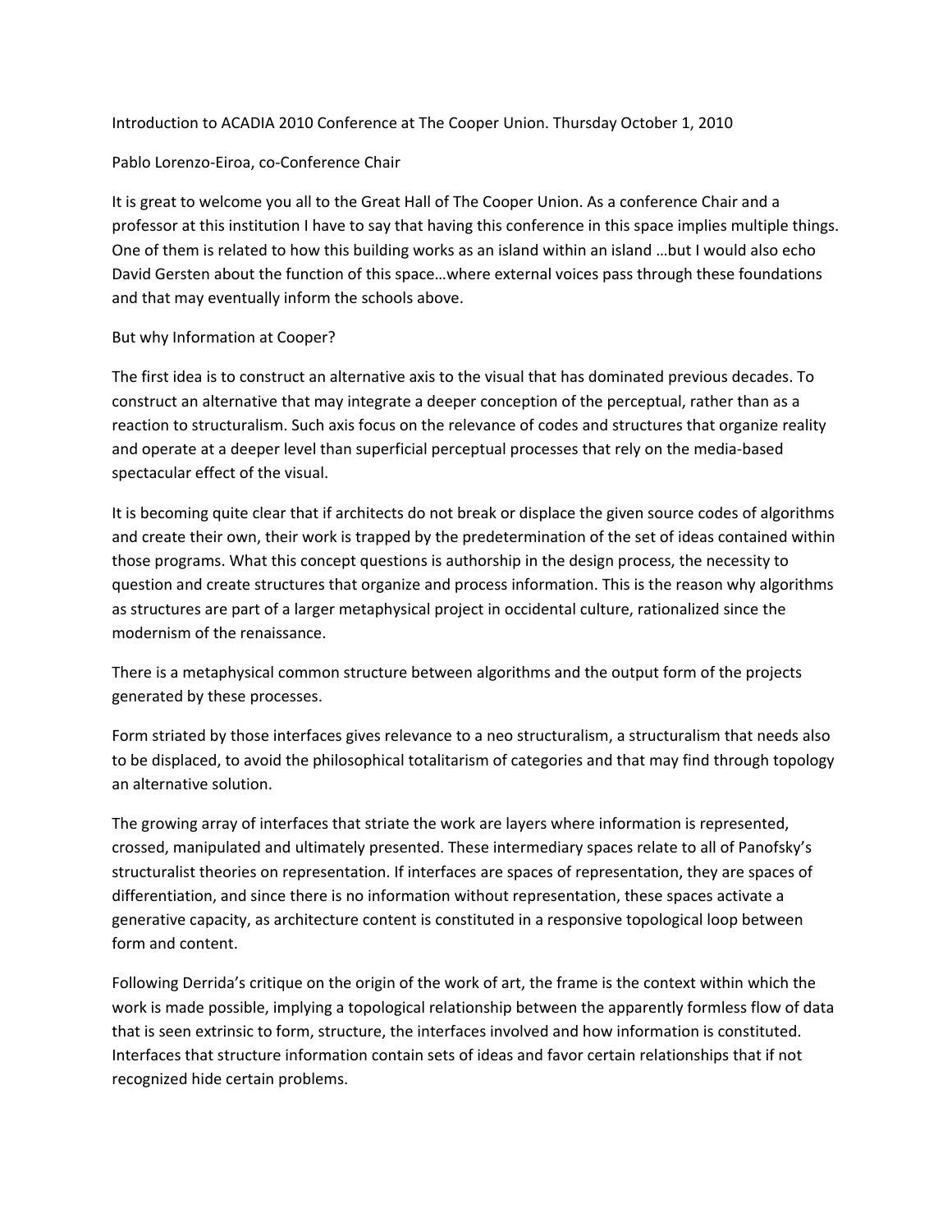Introduction to ACADIA 2010 Conference at The Cooper Union. Thursday October 1, 2010

Pablo Lorenzo‐Eiroa, co‐Conference Chair

It is great to welcome you all to the Great Hall of The Cooper Union. As a conference Chair and a professor at this institution I have to say that having this conference in this space implies multiple things. One of them is related to how this building works as an island within an island …but I would also echo David Gersten about the function of this space…where external voices pass through these foundations and that may eventually inform the schools above.

## But why Information at Cooper?

The first idea is to construct an alternative axis to the visual that has dominated previous decades. To construct an alternative that may integrate a deeper conception of the perceptual, rather than as a reaction to structuralism. Such axis focus on the relevance of codes and structures that organize reality and operate at a deeper level than superficial perceptual processes that rely on the media‐based spectacular effect of the visual.

It is becoming quite clear that if architects do not break or displace the given source codes of algorithms and create their own, their work is trapped by the predetermination of the set of ideas contained within those programs. What this concept questions is authorship in the design process, the necessity to question and create structures that organize and process information. This is the reason why algorithms as structures are part of a larger metaphysical project in occidental culture, rationalized since the modernism of the renaissance.

There is a metaphysical common structure between algorithms and the output form of the projects generated by these processes.

Form striated by those interfaces gives relevance to a neo structuralism, a structuralism that needs also to be displaced, to avoid the philosophical totalitarism of categories and that may find through topology an alternative solution.

The growing array of interfaces that striate the work are layers where information is represented, crossed, manipulated and ultimately presented. These intermediary spaces relate to all of Panofsky's structuralist theories on representation. If interfaces are spaces of representation, they are spaces of differentiation, and since there is no information without representation, these spaces activate a generative capacity, as architecture content is constituted in a responsive topological loop between form and content.

Following Derrida's critique on the origin of the work of art, the frame is the context within which the work is made possible, implying a topological relationship between the apparently formless flow of data that is seen extrinsic to form, structure, the interfaces involved and how information is constituted. Interfaces that structure information contain sets of ideas and favor certain relationships that if not recognized hide certain problems.